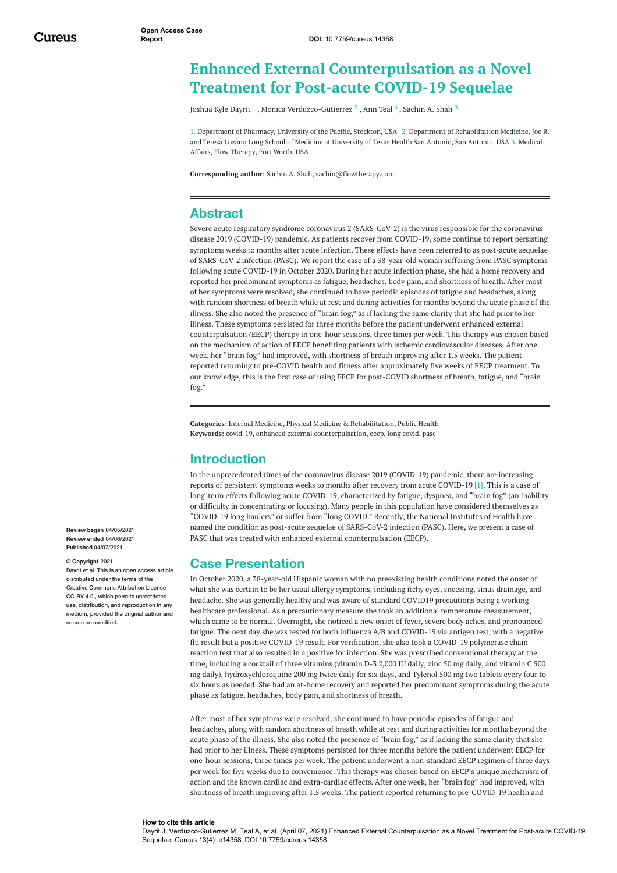# **Enhanced External Counterpulsation as a Novel Treatment for Post-acute COVID-19 Sequelae**

[Joshua](https://www.cureus.com/users/234714-joshua-kyle-dayrit) Kyle Dayrit  $^1$  , Monica [Verduzco-Gutierrez](https://www.cureus.com/users/234718-monica-verduzco-gutierrez)  $^2$  , [Ann](https://www.cureus.com/users/234719-ann-teal) Teal  $^3$  , [Sachin](https://www.cureus.com/users/234717-sachin-a-shah) A. Shah  $^3$ 

1. Department of Pharmacy, University of the Pacific, Stockton, USA 2. Department of Rehabilitation Medicine, Joe R. and Teresa Lozano Long School of Medicine at University of Texas Health San Antonio, San Antonio, USA 3. Medical Affairs, Flow Therapy, Fort Worth, USA

**Corresponding author:** Sachin A. Shah, sachin@flowtherapy.com

# **Abstract**

Severe acute respiratory syndrome coronavirus 2 (SARS-CoV-2) is the virus responsible for the coronavirus disease 2019 (COVID-19) pandemic. As patients recover from COVID-19, some continue to report persisting symptoms weeks to months after acute infection. These effects have been referred to as post-acute sequelae of SARS-CoV-2 infection (PASC). We report the case of a 38-year-old woman suffering from PASC symptoms following acute COVID-19 in October 2020. During her acute infection phase, she had a home recovery and reported her predominant symptoms as fatigue, headaches, body pain, and shortness of breath. After most of her symptoms were resolved, she continued to have periodic episodes of fatigue and headaches, along with random shortness of breath while at rest and during activities for months beyond the acute phase of the illness. She also noted the presence of "brain fog," as if lacking the same clarity that she had prior to her illness. These symptoms persisted for three months before the patient underwent enhanced external counterpulsation (EECP) therapy in one-hour sessions, three times per week. This therapy was chosen based on the mechanism of action of EECP benefiting patients with ischemic cardiovascular diseases. After one week, her "brain fog" had improved, with shortness of breath improving after 1.5 weeks. The patient reported returning to pre-COVID health and fitness after approximately five weeks of EECP treatment. To our knowledge, this is the first case of using EECP for post-COVID shortness of breath, fatigue, and "brain fog."

**Categories:** Internal Medicine, Physical Medicine & Rehabilitation, Public Health **Keywords:** covid-19, enhanced external counterpulsation, eecp, long covid, pasc

# **Introduction**

In the unprecedented times of the coronavirus disease 2019 (COVID-19) pandemic, there are increasing reports of persistent symptoms weeks to months after recovery from acute COVID-19 [1]. This is a case of long-term effects following acute COVID-19, characterized by fatigue, dyspnea, and "brain fog" (an inability or difficulty in concentrating or focusing). Many people in this population have considered themselves as "COVID-19 long haulers" or suffer from "long COVID." Recently, the National Institutes of Health have named the condition as post-acute sequelae of SARS-CoV-2 infection (PASC). Here, we present a case of PASC that was treated with enhanced external counterpulsation (EECP).

## **Case Presentation**

In October 2020, a 38-year-old Hispanic woman with no preexisting health conditions noted the onset of what she was certain to be her usual allergy symptoms, including itchy eyes, sneezing, sinus drainage, and headache. She was generally healthy and was aware of standard COVID19 precautions being a working healthcare professional. As a precautionary measure she took an additional temperature measurement, which came to be normal. Overnight, she noticed a new onset of fever, severe body aches, and pronounced fatigue. The next day she was tested for both influenza A/B and COVID-19 via antigen test, with a negative flu result but a positive COVID-19 result. For verification, she also took a COVID-19 polymerase chain reaction test that also resulted in a positive for infection. She was prescribed conventional therapy at the time, including a cocktail of three vitamins (vitamin D-3 2,000 IU daily, zinc 50 mg daily, and vitamin C 500 mg daily), hydroxychloroquine 200 mg twice daily for six days, and Tylenol 500 mg two tablets every four to six hours as needed. She had an at-home recovery and reported her predominant symptoms during the acute phase as fatigue, headaches, body pain, and shortness of breath.

After most of her symptoms were resolved, she continued to have periodic episodes of fatigue and headaches, along with random shortness of breath while at rest and during activities for months beyond the acute phase of the illness. She also noted the presence of "brain fog," as if lacking the same clarity that she had prior to her illness. These symptoms persisted for three months before the patient underwent EECP for one-hour sessions, three times per week. The patient underwent a non-standard EECP regimen of three days per week for five weeks due to convenience. This therapy was chosen based on EECP's unique mechanism of action and the known cardiac and extra-cardiac effects. After one week, her "brain fog" had improved, with shortness of breath improving after 1.5 weeks. The patient reported returning to pre-COVID-19 health and

**Review began** 04/05/2021 **Review ended** 04/06/2021 **Published** 04/07/2021

#### **© Copyright** 2021

Dayrit et al. This is an open access article distributed under the terms of the Creative Commons Attribution License CC-BY 4.0., which permits unrestricted use, distribution, and reproduction in any medium, provided the original author and source are credited.

#### **How to cite this article**

Dayrit J, Verduzco-Gutierrez M, Teal A, et al. (April 07, 2021) Enhanced External Counterpulsation as a Novel Treatment for Post-acute COVID-19 Sequelae. Cureus 13(4): e14358. DOI 10.7759/cureus.14358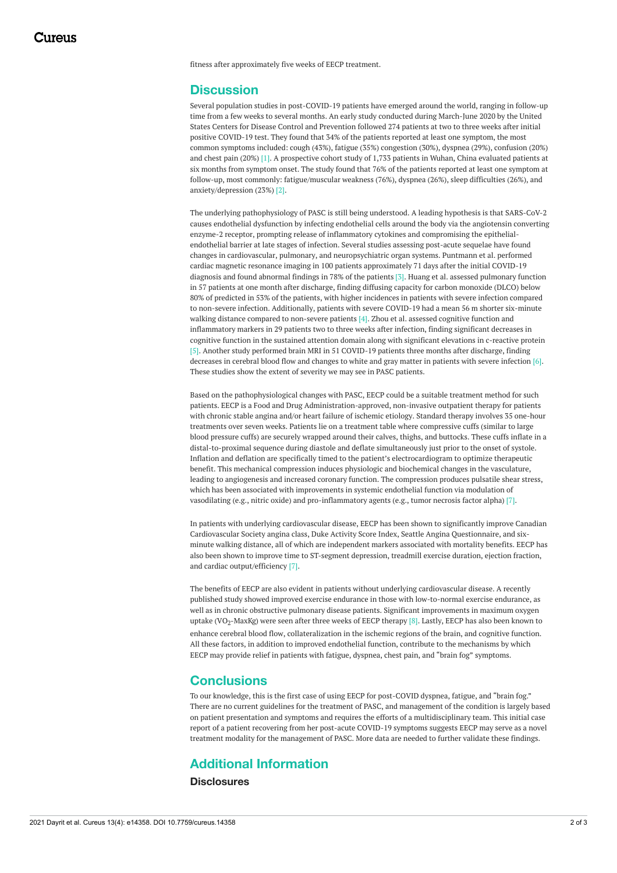fitness after approximately five weeks of EECP treatment.

### **Discussion**

Several population studies in post-COVID-19 patients have emerged around the world, ranging in follow-up time from a few weeks to several months. An early study conducted during March-June 2020 by the United States Centers for Disease Control and Prevention followed 274 patients at two to three weeks after initial positive COVID-19 test. They found that 34% of the patients reported at least one symptom, the most common symptoms included: cough (43%), fatigue (35%) congestion (30%), dyspnea (29%), confusion (20%) and chest pain (20%) [1]. A prospective cohort study of 1,733 patients in Wuhan, China evaluated patients at six months from symptom onset. The study found that 76% of the patients reported at least one symptom at follow-up, most commonly: fatigue/muscular weakness (76%), dyspnea (26%), sleep difficulties (26%), and anxiety/depression (23%) [2].

The underlying pathophysiology of PASC is still being understood. A leading hypothesis is that SARS-CoV-2 causes endothelial dysfunction by infecting endothelial cells around the body via the angiotensin converting enzyme-2 receptor, prompting release of inflammatory cytokines and compromising the epithelialendothelial barrier at late stages of infection. Several studies assessing post-acute sequelae have found changes in cardiovascular, pulmonary, and neuropsychiatric organ systems. Puntmann et al. performed cardiac magnetic resonance imaging in 100 patients approximately 71 days after the initial COVID-19 diagnosis and found abnormal findings in 78% of the patients [3]. Huang et al. assessed pulmonary function in 57 patients at one month after discharge, finding diffusing capacity for carbon monoxide (DLCO) below 80% of predicted in 53% of the patients, with higher incidences in patients with severe infection compared to non-severe infection. Additionally, patients with severe COVID-19 had a mean 56 m shorter six-minute walking distance compared to non-severe patients [4]. Zhou et al. assessed cognitive function and inflammatory markers in 29 patients two to three weeks after infection, finding significant decreases in cognitive function in the sustained attention domain along with significant elevations in c-reactive protein [5]. Another study performed brain MRI in 51 COVID-19 patients three months after discharge, finding decreases in cerebral blood flow and changes to white and gray matter in patients with severe infection [6]. These studies show the extent of severity we may see in PASC patients.

Based on the pathophysiological changes with PASC, EECP could be a suitable treatment method for such patients. EECP is a Food and Drug Administration-approved, non-invasive outpatient therapy for patients with chronic stable angina and/or heart failure of ischemic etiology. Standard therapy involves 35 one-hour treatments over seven weeks. Patients lie on a treatment table where compressive cuffs (similar to large blood pressure cuffs) are securely wrapped around their calves, thighs, and buttocks. These cuffs inflate in a distal-to-proximal sequence during diastole and deflate simultaneously just prior to the onset of systole. Inflation and deflation are specifically timed to the patient's electrocardiogram to optimize therapeutic benefit. This mechanical compression induces physiologic and biochemical changes in the vasculature, leading to angiogenesis and increased coronary function. The compression produces pulsatile shear stress, which has been associated with improvements in systemic endothelial function via modulation of vasodilating (e.g., nitric oxide) and pro-inflammatory agents (e.g., tumor necrosis factor alpha) [7].

In patients with underlying cardiovascular disease, EECP has been shown to significantly improve Canadian Cardiovascular Society angina class, Duke Activity Score Index, Seattle Angina Questionnaire, and sixminute walking distance, all of which are independent markers associated with mortality benefits. EECP has also been shown to improve time to ST-segment depression, treadmill exercise duration, ejection fraction, and cardiac output/efficiency [7].

The benefits of EECP are also evident in patients without underlying cardiovascular disease. A recently published study showed improved exercise endurance in those with low-to-normal exercise endurance, as well as in chronic obstructive pulmonary disease patients. Significant improvements in maximum oxygen uptake (VO<sub>2</sub>-MaxKg) were seen after three weeks of EECP therapy [8]. Lastly, EECP has also been known to enhance cerebral blood flow, collateralization in the ischemic regions of the brain, and cognitive function. All these factors, in addition to improved endothelial function, contribute to the mechanisms by which EECP may provide relief in patients with fatigue, dyspnea, chest pain, and "brain fog" symptoms.

## **Conclusions**

To our knowledge, this is the first case of using EECP for post-COVID dyspnea, fatigue, and "brain fog." There are no current guidelines for the treatment of PASC, and management of the condition is largely based on patient presentation and symptoms and requires the efforts of a multidisciplinary team. This initial case report of a patient recovering from her post-acute COVID-19 symptoms suggests EECP may serve as a novel treatment modality for the management of PASC. More data are needed to further validate these findings.

## **Additional Information**

**Disclosures**